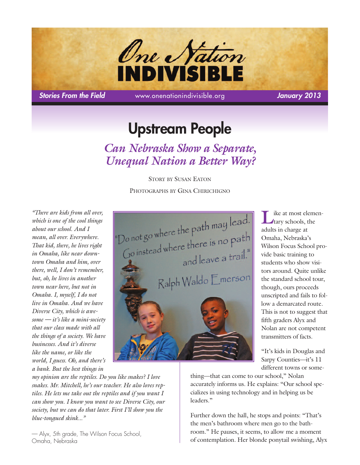

*Stories From the Field* www.onenationindivisible.org *January 2013*

# **Upstream People**

*Can Nebraska Show a Separate, Unequal Nation a Better Way?*

> STORY BY SUSAN EATON PHOTOGRAPHS BY GINA CHIRICHIGNO

*"There are kids from all over, which is one of the cool things about our school. And I mean, all over. Everywhere. That kid, there, he lives right in Omaha, like near downtown Omaha and him, over there, well, I don't remember, but, oh, he lives in another town near here, but not in Omaha. I, myself, I do not live in Omaha. And we have Diverse City, which is awesome — it's like a mini-society that our class made with all the things of a society. We have businesses. And it's diverse like the name, or like the world, I guess. Oh, and there's a bank. But the best things in*



ike at most elementary schools, the adults in charge at Omaha, Nebraska's Wilson Focus School provide basic training to students who show visitors around. Quite unlike the standard school tour, though, ours proceeds unscripted and fails to follow a demarcated route. This is not to suggest that fifth graders Alyx and Nolan are not competent transmitters of facts.

"It's kids in Douglas and Sarpy Counties—it's 11 different towns or some-

*my opinion are the reptiles. Do you like snakes? I love snakes. Mr. Mitchell, he's our teacher. He also loves reptiles. He lets me take out the reptiles and if you want I can show you. I know you want to see Diverse City, our society, but we can do that later. First I'll show you the blue-tongued skink..."*

— Alyx, 5th grade, The Wilson Focus School, Omaha, Nebraska

thing—that can come to our school," Nolan accurately informs us. He explains: "Our school specializes in using technology and in helping us be leaders."

Further down the hall, he stops and points: "That's the men's bathroom where men go to the bathroom." He pauses, it seems, to allow me a moment of contemplation. Her blonde ponytail swishing, Alyx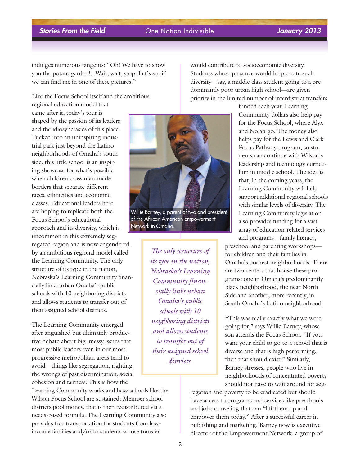indulges numerous tangents: "Oh! We have to show you the potato garden!...Wait, wait, stop. Let's see if we can find me in one of these pictures."

Like the Focus School itself and the ambitious

regional education model that came after it, today's tour is shaped by the passion of its leaders and the idiosyncrasies of this place. Tucked into an uninspiring industrial park just beyond the Latino neighborhoods of Omaha's south side, this little school is an inspiring showcase for what's possible when children cross man-made borders that separate different races, ethnicities and economic classes. Educational leaders here are hoping to replicate both the Focus School's educational approach and its diversity, which is uncommon in this extremely segregated region and is now engendered by an ambitious regional model called the Learning Community. The only structure of its type in the nation, Nebraska's Learning Community financially links urban Omaha's public schools with 10 neighboring districts and allows students to transfer out of their assigned school districts.

The Learning Community emerged after anguished but ultimately productive debate about big, messy issues that most public leaders even in our most progressive metropolitan areas tend to avoid—things like segregation, righting the wrongs of past discrimination, social cohesion and fairness. This is how the

Learning Community works and how schools like the Wilson Focus School are sustained: Member school districts pool money, that is then redistributed via a needs-based formula. The Learning Community also provides free transportation for students from lowincome families and/or to students whose transfer



Willie Barney, a parent of two and president of the African American Empowerment Network in Omaha.

*The only structure of its type in the nation, Nebraska's Learning Community financially links urban Omaha's public schools with 10 neighboring districts and allows students to transfer out of their assigned school districts.*

would contribute to socioeconomic diversity. Students whose presence would help create such diversity—say, a middle class student going to a predominantly poor urban high school—are given priority in the limited number of interdistrict transfers

> funded each year. Learning Community dollars also help pay for the Focus School, where Alyx and Nolan go. The money also helps pay for the Lewis and Clark Focus Pathway program, so students can continue with Wilson's leadership and technology curriculum in middle school. The idea is that, in the coming years, the Learning Community will help support additional regional schools with similar levels of diversity. The Learning Community legislation also provides funding for a vast array of education-related services and programs—family literacy,

preschool and parenting workshops for children and their families in Omaha's poorest neighborhoods. There are two centers that house these programs: one in Omaha's predominantly black neighborhood, the near North Side and another, more recently, in South Omaha's Latino neighborhood.

"This was really exactly what we were going for," says Willie Barney, whose son attends the Focus School. "If you want your child to go to a school that is diverse and that is high performing, then that should exist." Similarly, Barney stresses, people who live in neighborhoods of concentrated poverty should not have to wait around for seg-

regation and poverty to be eradicated but should have access to programs and services like preschools and job counseling that can "lift them up and empower them today." After a successful career in publishing and marketing, Barney now is executive director of the Empowerment Network, a group of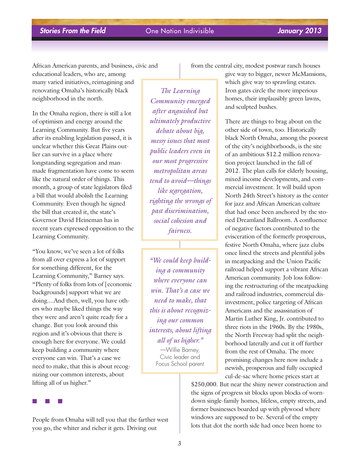African American parents, and business, civic and educational leaders, who are, among many varied initiatives, reimagining and renovating Omaha's historically black neighborhood in the north.

In the Omaha region, there is still a lot of optimism and energy around the Learning Community. But five years after its enabling legislation passed, it is unclear whether this Great Plains outlier can survive in a place where longstanding segregation and manmade fragmentation have come to seem like the natural order of things. This month, a group of state legislators filed a bill that would abolish the Learning Community. Even though he signed the bill that created it, the state's Governor David Heineman has in recent years expressed opposition to the Learning Community.

"You know, we've seen a lot of folks from all over express a lot of support for something different, for the Learning Community," Barney says. "Plenty of folks from lots of [economic backgrounds] support what we are doing....And then, well, you have others who maybe liked things the way they were and aren't quite ready for a change. But you look around this region and it's obvious that there is enough here for everyone. We could keep building a community where everyone can win. That's a case we need to make, that this is about recognizing our common interests, about lifting all of us higher."

■ ■ ■

People from Omaha will tell you that the farther west you go, the whiter and richer it gets. Driving out

*The Learning Community emerged after anguished but ultimately productive debate about big, messy issues that most public leaders even in our most progressive metropolitan areas tend to avoid—things like segregation, righting the wrongs of past discrimination, social cohesion and fairness.*

*"We could keep building a community where everyone can win. That's a case we need to make, that this is about recognizing our common interests, about lifting all of us higher."* —Willie Barney, Civic leader and Focus School parent

from the central city, modest postwar ranch houses

give way to bigger, newer McMansions, which give way to sprawling estates. Iron gates circle the more imperious homes, their implausibly green lawns, and sculpted bushes.

There are things to brag about on the other side of town, too. Historically black North Omaha, among the poorest of the city's neighborhoods, is the site of an ambitious \$12.2 million renovation project launched in the fall of 2012. The plan calls for elderly housing, mixed income developments, and commercial investment. It will build upon North 24th Street's history as the center for jazz and African American culture that had once been anchored by the storied Dreamland Ballroom. A confluence of negative factors contributed to the evisceration of the formerly prosperous, festive North Omaha, where jazz clubs once lined the streets and plentiful jobs in meatpacking and the Union Pacific railroad helped support a vibrant African American community. Job loss following the restructuring of the meatpacking and railroad industries, commercial disinvestment, police targeting of African Americans and the assassination of Martin Luther King, Jr. contributed to three riots in the 1960s. By the 1980s, the North Freeway had split the neighborhood laterally and cut it off further from the rest of Omaha. The more promising changes here now include a newish, prosperous and fully occupied cul-de-sac where home prices start at

\$250,000. But near the shiny newer construction and the signs of progress sit blocks upon blocks of worndown single-family homes, lifeless, empty streets, and former businesses boarded up with plywood where windows are supposed to be. Several of the empty lots that dot the north side had once been home to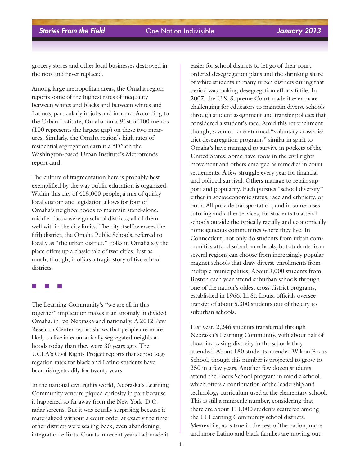grocery stores and other local businesses destroyed in the riots and never replaced.

Among large metropolitan areas, the Omaha region reports some of the highest rates of inequality between whites and blacks and between whites and Latinos, particularly in jobs and income. According to the Urban Institute, Omaha ranks 91st of 100 metros (100 represents the largest gap) on these two measures. Similarly, the Omaha region's high rates of residential segregation earn it a "D" on the Washington-based Urban Institute's Metrotrends report card.

The culture of fragmentation here is probably best exemplified by the way public education is organized. Within this city of 415,000 people, a mix of quirky local custom and legislation allows for four of Omaha's neighborhoods to maintain stand-alone, middle-class sovereign school districts, all of them well within the city limits. The city itself oversees the fifth district, the Omaha Public Schools, referred to locally as "the urban district." Folks in Omaha say the place offers up a classic tale of two cities. Just as much, though, it offers a tragic story of five school districts.

### ■ ■ ■

The Learning Community's "we are all in this together" implication makes it an anomaly in divided Omaha, in red Nebraska and nationally. A 2012 Pew Research Center report shows that people are more likely to live in economically segregated neighborhoods today than they were 30 years ago. The UCLA's Civil Rights Project reports that school segregation rates for black and Latino students have been rising steadily for twenty years.

In the national civil rights world, Nebraska's Learning Community venture piqued curiosity in part because it happened so far away from the New York–D.C. radar screens. But it was equally surprising because it materialized without a court order at exactly the time other districts were scaling back, even abandoning, integration efforts. Courts in recent years had made it

easier for school districts to let go of their courtordered desegregation plans and the shrinking share of white students in many urban districts during that period was making desegregation efforts futile. In 2007, the U.S. Supreme Court made it ever more challenging for educators to maintain diverse schools through student assignment and transfer policies that considered a student's race. Amid this retrenchment, though, seven other so-termed "voluntary cross-district desegregation programs" similar in spirit to Omaha's have managed to survive in pockets of the United States. Some have roots in the civil rights movement and others emerged as remedies in court settlements. A few struggle every year for financial and political survival. Others manage to retain support and popularity. Each pursues "school diversity" either in socioeconomic status, race and ethnicity, or both. All provide transportation, and in some cases tutoring and other services, for students to attend schools outside the typically racially and economically homogeneous communities where they live. In Connecticut, not only do students from urban communities attend suburban schools, but students from several regions can choose from increasingly popular magnet schools that draw diverse enrollments from multiple municipalities. About 3,000 students from Boston each year attend suburban schools through one of the nation's oldest cross-district programs, established in 1966. In St. Louis, officials oversee transfer of about 5,300 students out of the city to suburban schools.

Last year, 2,246 students transferred through Nebraska's Learning Community, with about half of those increasing diversity in the schools they attended. About 180 students attended Wilson Focus School, though this number is projected to grow to 250 in a few years. Another few dozen students attend the Focus School program in middle school, which offers a continuation of the leadership and technology curriculum used at the elementary school. This is still a miniscule number, considering that there are about 111,000 students scattered among the 11 Learning Community school districts. Meanwhile, as is true in the rest of the nation, more and more Latino and black families are moving out-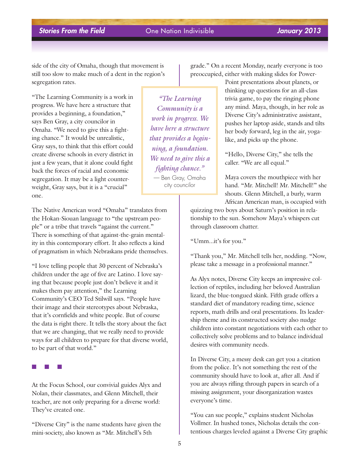side of the city of Omaha, though that movement is still too slow to make much of a dent in the region's segregation rates.

"The Learning Community is a work in progress. We have here a structure that provides a beginning, a foundation," says Ben Gray, a city councilor in Omaha. "We need to give this a fighting chance." It would be unrealistic, Gray says, to think that this effort could create diverse schools in every district in just a few years, that it alone could fight back the forces of racial and economic segregation. It may be a light counterweight, Gray says, but it is a "crucial" one.

The Native American word "Omaha" translates from the Hokan-Siouan language to "the upstream people" or a tribe that travels "against the current." There is something of that against-the-grain mentality in this contemporary effort. It also reflects a kind of pragmatism in which Nebraskans pride themselves.

"I love telling people that 30 percent of Nebraska's children under the age of five are Latino. I love saying that because people just don't believe it and it makes them pay attention," the Learning Community's CEO Ted Stilwill says. "People have their image and their stereotypes about Nebraska, that it's cornfields and white people. But of course the data is right there. It tells the story about the fact that we are changing, that we really need to provide ways for all children to prepare for that diverse world, to be part of that world."

■ ■ ■

At the Focus School, our convivial guides Alyx and Nolan, their classmates, and Glenn Mitchell, their teacher, are not only preparing for a diverse world: They've created one.

"Diverse City" is the name students have given the mini-society, also known as "Mr. Mitchell's 5th

*"The Learning Community is a work in progress. We have here a structure that provides a beginning, a foundation. We need to give this a fighting chance."* — Ben Gray, Omaha city councilor

grade." On a recent Monday, nearly everyone is too preoccupied, either with making slides for Power-

> Point presentations about planets, or thinking up questions for an all-class trivia game, to pay the ringing phone any mind. Maya, though, in her role as Diverse City's administrative assistant, pushes her laptop aside, stands and tilts her body forward, leg in the air, yogalike, and picks up the phone.

"Hello, Diverse City," she tells the caller. "We are all equal."

Maya covers the mouthpiece with her hand. "Mr. Mitchell! Mr. Mitchell!" she shouts. Glenn Mitchell, a burly, warm African American man, is occupied with

quizzing two boys about Saturn's position in relationship to the sun. Somehow Maya's whispers cut through classroom chatter.

"Umm...it's for you."

"Thank you," Mr. Mitchell tells her, nodding. "Now, please take a message in a professional manner."

As Alyx notes, Diverse City keeps an impressive collection of reptiles, including her beloved Australian lizard, the blue-tongued skink. Fifth grade offers a standard diet of mandatory reading time, science reports, math drills and oral presentations. Its leadership theme and its constructed society also nudge children into constant negotiations with each other to collectively solve problems and to balance individual desires with community needs.

In Diverse City, a messy desk can get you a citation from the police. It's not something the rest of the community should have to look at, after all. And if you are always rifling through papers in search of a missing assignment, your disorganization wastes everyone's time.

"You can sue people," explains student Nicholas Vollmer. In hushed tones, Nicholas details the contentious charges leveled against a Diverse City graphic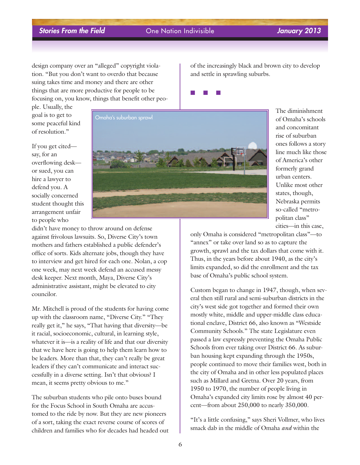design company over an "alleged" copyright violation. "But you don't want to overdo that because suing takes time and money and there are other things that are more productive for people to be focusing on, you know, things that benefit other peo-

ple. Usually, the goal is to get to some peaceful kind of resolution."

If you get cited say, for an overflowing desk or sued, you can hire a lawyer to defend you. A socially concerned student thought this arrangement unfair to people who



didn't have money to throw around on defense against frivolous lawsuits. So, Diverse City's town mothers and fathers established a public defender's office of sorts. Kids alternate jobs, though they have to interview and get hired for each one. Nolan, a cop one week, may next week defend an accused messy desk keeper. Next month, Maya, Diverse City's administrative assistant, might be elevated to city councilor.

Mr. Mitchell is proud of the students for having come up with the classroom name, "Diverse City." "They really get it," he says, "That having that diversity—be it racial, socioeconomic, cultural, in learning style, whatever it is—is a reality of life and that our diversity that we have here is going to help them learn how to be leaders. More than that, they can't really be great leaders if they can't communicate and interact successfully in a diverse setting. Isn't that obvious? I mean, it seems pretty obvious to me."

The suburban students who pile onto buses bound for the Focus School in South Omaha are accustomed to the ride by now. But they are new pioneers of a sort, taking the exact reverse course of scores of children and families who for decades had headed out of the increasingly black and brown city to develop and settle in sprawling suburbs.

■ ■ ■

The diminishment of Omaha's schools and concomitant rise of suburban ones follows a story line much like those of America's other formerly grand urban centers. Unlike most other states, though, Nebraska permits so-called "metropolitan class" cities—in this case,

only Omaha is considered "metropolitan class"—to "annex" or take over land so as to capture the growth, sprawl and the tax dollars that come with it. Thus, in the years before about 1940, as the city's limits expanded, so did the enrollment and the tax base of Omaha's public school system.

Custom began to change in 1947, though, when several then still rural and semi-suburban districts in the city's west side got together and formed their own mostly white, middle and upper-middle class educational enclave, District 66, also known as "Westside Community Schools." The state Legislature even passed a law expressly preventing the Omaha Public Schools from ever taking over District 66. As suburban housing kept expanding through the 1950s, people continued to move their families west, both in the city of Omaha and in other less populated places such as Millard and Gretna. Over 20 years, from 1950 to 1970, the number of people living in Omaha's expanded city limits rose by almost 40 percent—from about 250,000 to nearly 350,000.

"It's a little confusing," says Sheri Vollmer, who lives smack dab in the middle of Omaha *and* within the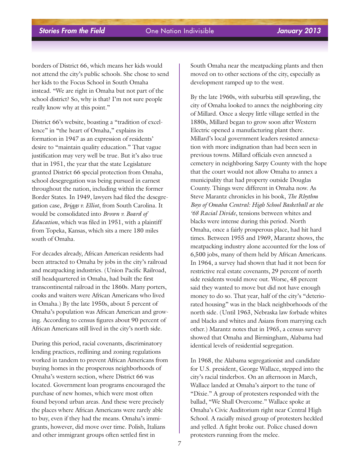borders of District 66, which means her kids would not attend the city's public schools. She chose to send her kids to the Focus School in South Omaha instead. "We are right in Omaha but not part of the school district? So, why is that? I'm not sure people really know why at this point."

District 66's website, boasting a "tradition of excellence" in "the heart of Omaha," explains its formation in 1947 as an expression of residents' desire to "maintain quality education." That vague justification may very well be true. But it's also true that in 1951, the year that the state Legislature granted District 66 special protection from Omaha, school desegregation was being pursued in earnest throughout the nation, including within the former Border States. In 1949, lawyers had filed the desegregation case, *Briggs v. Elliot*, from South Carolina. It would be consolidated into *Brown v. Board of Education*, which was filed in 1951, with a plaintiff from Topeka, Kansas, which sits a mere 180 miles south of Omaha.

For decades already, African American residents had been attracted to Omaha by jobs in the city's railroad and meatpacking industries. (Union Pacific Railroad, still headquartered in Omaha, had built the first transcontinental railroad in the 1860s. Many porters, cooks and waiters were African Americans who lived in Omaha.) By the late 1950s, about 5 percent of Omaha's population was African American and growing. According to census figures about 90 percent of African Americans still lived in the city's north side.

During this period, racial covenants, discriminatory lending practices, redlining and zoning regulations worked in tandem to prevent African Americans from buying homes in the prosperous neighborhoods of Omaha's western section, where District 66 was located. Government loan programs encouraged the purchase of new homes, which were most often found beyond urban areas. And these were precisely the places where African Americans were rarely able to buy, even if they had the means. Omaha's immigrants, however, did move over time. Polish, Italians and other immigrant groups often settled first in

South Omaha near the meatpacking plants and then moved on to other sections of the city, especially as development ramped up to the west.

By the late 1960s, with suburbia still sprawling, the city of Omaha looked to annex the neighboring city of Millard. Once a sleepy little village settled in the 1880s, Millard began to grow soon after Western Electric opened a manufacturing plant there. Millard's local government leaders resisted annexation with more indignation than had been seen in previous towns. Millard officials even annexed a cemetery in neighboring Sarpy County with the hope that the court would not allow Omaha to annex a municipality that had property outside Douglas County. Things were different in Omaha now. As Steve Marantz chronicles in his book, *The Rhythm Boys of Omaha Central: High School Basketball at the '68 Racial Divide*, tensions between whites and blacks were intense during this period. North Omaha, once a fairly prosperous place, had hit hard times. Between 1955 and 1969, Marantz shows, the meatpacking industry alone accounted for the loss of 6,500 jobs, many of them held by African Americans. In 1964, a survey had shown that had it not been for restrictive real estate covenants, 29 percent of north side residents would move out. Worse, 48 percent said they wanted to move but did not have enough money to do so. That year, half of the city's "deteriorated housing" was in the black neighborhoods of the north side. (Until 1963, Nebraska law forbade whites and blacks and whites and Asians from marrying each other.) Marantz notes that in 1965, a census survey showed that Omaha and Birmingham, Alabama had identical levels of residential segregation.

In 1968, the Alabama segregationist and candidate for U.S. president, George Wallace, stepped into the city's racial tinderbox. On an afternoon in March, Wallace landed at Omaha's airport to the tune of "Dixie." A group of protesters responded with the ballad, "We Shall Overcome." Wallace spoke at Omaha's Civic Auditorium right near Central High School. A racially mixed group of protesters heckled and yelled. A fight broke out. Police chased down protesters running from the melee.

7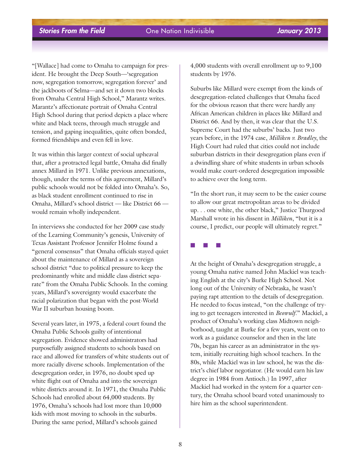"[Wallace] had come to Omaha to campaign for president. He brought the Deep South—'segregation now, segregation tomorrow, segregation forever' and the jackboots of Selma—and set it down two blocks from Omaha Central High School," Marantz writes. Marantz's affectionate portrait of Omaha Central High School during that period depicts a place where white and black teens, through much struggle and tension, and gaping inequalities, quite often bonded, formed friendships and even fell in love.

It was within this larger context of social upheaval that, after a protracted legal battle, Omaha did finally annex Millard in 1971. Unlike previous annexations, though, under the terms of this agreement, Millard's public schools would not be folded into Omaha's. So, as black student enrollment continued to rise in Omaha, Millard's school district — like District 66 would remain wholly independent.

In interviews she conducted for her 2009 case study of the Learning Community's genesis, University of Texas Assistant Professor Jennifer Holme found a "general consensus" that Omaha officials stayed quiet about the maintenance of Millard as a sovereign school district "due to political pressure to keep the predominantly white and middle class district separate" from the Omaha Public Schools. In the coming years, Millard's sovereignty would exacerbate the racial polarization that began with the post-World War II suburban housing boom.

Several years later, in 1975, a federal court found the Omaha Public Schools guilty of intentional segregation. Evidence showed administrators had purposefully assigned students to schools based on race and allowed for transfers of white students out of more racially diverse schools. Implementation of the desegregation order, in 1976, no doubt sped up white flight out of Omaha and into the sovereign white districts around it. In 1971, the Omaha Public Schools had enrolled about 64,000 students. By 1976, Omaha's schools had lost more than 10,000 kids with most moving to schools in the suburbs. During the same period, Millard's schools gained

4,000 students with overall enrollment up to 9,100 students by 1976.

Suburbs like Millard were exempt from the kinds of desegregation-related challenges that Omaha faced for the obvious reason that there were hardly any African American children in places like Millard and District 66. And by then, it was clear that the U.S. Supreme Court had the suburbs' backs. Just two years before, in the 1974 case, *Milliken v. Bradley*, the High Court had ruled that cities could not include suburban districts in their desegregation plans even if a dwindling share of white students in urban schools would make court-ordered desegregation impossible to achieve over the long term.

"In the short run, it may seem to be the easier course to allow our great metropolitan areas to be divided up. . . one white, the other black," Justice Thurgood Marshall wrote in his dissent in *Milliken*, "but it is a course, I predict, our people will ultimately regret."

■ ■ ■

At the height of Omaha's desegregation struggle, a young Omaha native named John Mackiel was teaching English at the city's Burke High School. Not long out of the University of Nebraska, he wasn't paying rapt attention to the details of desegregation. He needed to focus instead, "on the challenge of trying to get teenagers interested in *Beowulf*." Mackiel, a product of Omaha's working class Midtown neighborhood, taught at Burke for a few years, went on to work as a guidance counselor and then in the late 70s, began his career as an administrator in the system, initially recruiting high school teachers. In the 80s, while Mackiel was in law school, he was the district's chief labor negotiator. (He would earn his law degree in 1984 from Antioch.) In 1997, after Mackiel had worked in the system for a quarter century, the Omaha school board voted unanimously to hire him as the school superintendent.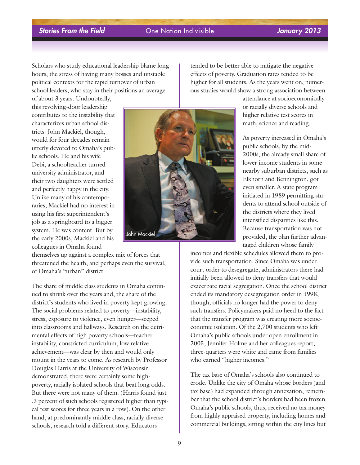Scholars who study educational leadership blame long hours, the stress of having many bosses and unstable political contexts for the rapid turnover of urban school leaders, who stay in their positions an average

of about 3 years. Undoubtedly, this revolving-door leadership contributes to the instability that characterizes urban school districts. John Mackiel, though, would for four decades remain utterly devoted to Omaha's public schools. He and his wife Debi, a schoolteacher turned university administrator, and their two daughters were settled and perfectly happy in the city. Unlike many of his contemporaries, Mackiel had no interest in using his first superintendent's job as a springboard to a bigger system. He was content. But by the early 2000s, Mackiel and his colleagues in Omaha found

themselves up against a complex mix of forces that threatened the health, and perhaps even the survival, of Omaha's "urban" district.

The share of middle class students in Omaha continued to shrink over the years and, the share of the district's students who lived in poverty kept growing. The social problems related to poverty—instability, stress, exposure to violence, even hunger—seeped into classrooms and hallways. Research on the detrimental effects of high poverty schools—teacher instability, constricted curriculum, low relative achievement—was clear by then and would only mount in the years to come. As research by Professor Douglas Harris at the University of Wisconsin demonstrated, there were certainly some highpoverty, racially isolated schools that beat long odds. But there were not many of them. (Harris found just .3 percent of such schools registered higher than typical test scores for three years in a row). On the other hand, at predominantly middle class, racially diverse schools, research told a different story. Educators



tended to be better able to mitigate the negative effects of poverty. Graduation rates tended to be higher for all students. As the years went on, numerous studies would show a strong association between

> attendance at socioeconomically or racially diverse schools and higher relative test scores in math, science and reading.

As poverty increased in Omaha's public schools, by the mid-2000s, the already small share of lower-income students in some nearby suburban districts, such as Elkhorn and Bennington, got even smaller. A state program initiated in 1989 permitting students to attend school outside of the districts where they lived intensified disparities like this. Because transportation was not provided, the plan further advantaged children whose family

incomes and flexible schedules allowed them to provide such transportation. Since Omaha was under court order to desegregate, administrators there had initially been allowed to deny transfers that would exacerbate racial segregation. Once the school district ended its mandatory desegregation order in 1998, though, officials no longer had the power to deny such transfers. Policymakers paid no heed to the fact that the transfer program was creating more socioeconomic isolation. Of the 2,700 students who left Omaha's public schools under open enrollment in 2005, Jennifer Holme and her colleagues report, three-quarters were white and came from families who earned "higher incomes."

The tax base of Omaha's schools also continued to erode. Unlike the city of Omaha whose borders (and tax base) had expanded through annexation, remember that the school district's borders had been frozen. Omaha's public schools, thus, received no tax money from highly appraised property, including homes and commercial buildings, sitting within the city lines but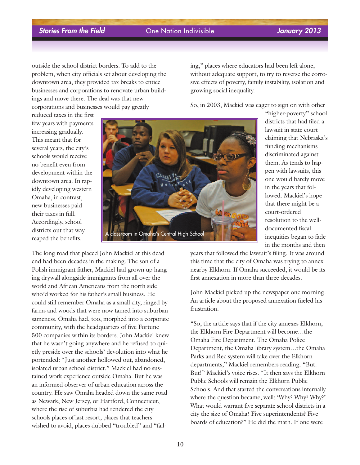districts that had filed a lawsuit in state court claiming that Nebraska's funding mechanisms discriminated against them. As tends to happen with lawsuits, this

outside the school district borders. To add to the problem, when city officials set about developing the downtown area, they provided tax breaks to entice businesses and corporations to renovate urban buildings and move there. The deal was that new corporations and businesses would pay greatly

reduced taxes in the first few years with payments increasing gradually. This meant that for several years, the city's schools would receive no benefit even from development within the downtown area. In rapidly developing western Omaha, in contrast, new businesses paid their taxes in full. Accordingly, school districts out that way reaped the benefits.



one would barely move in the years that followed. Mackiel's hope that there might be a court-ordered resolution to the welldocumented fiscal inequities began to fade in the months and then

years that followed the lawsuit's filing. It was around this time that the city of Omaha was trying to annex nearby Elkhorn. If Omaha succeeded, it would be its first annexation in more than three decades.

John Mackiel picked up the newspaper one morning. An article about the proposed annexation fueled his frustration.

"So, the article says that if the city annexes Elkhorn, the Elkhorn Fire Department will become…the Omaha Fire Department. The Omaha Police Department, the Omaha library system…the Omaha Parks and Rec system will take over the Elkhorn departments," Mackiel remembers reading. "But. But!" Mackiel's voice rises. "It then says the Elkhorn Public Schools will remain the Elkhorn Public Schools. And that started the conversations internally where the question became, well: 'Why? Why?' Why?' What would warrant five separate school districts in a city the size of Omaha? Five superintendents? Five boards of education?" He did the math. If one were

The long road that placed John Mackiel at this dead end had been decades in the making. The son of a Polish immigrant father, Mackiel had grown up hanging drywall alongside immigrants from all over the world and African Americans from the north side who'd worked for his father's small business. He could still remember Omaha as a small city, ringed by farms and woods that were now tamed into suburban sameness. Omaha had, too, morphed into a corporate community, with the headquarters of five Fortune 500 companies within its borders. John Mackiel knew that he wasn't going anywhere and he refused to quietly preside over the schools' devolution into what he portended: "Just another hollowed out, abandoned, isolated urban school district." Mackiel had no sustained work experience outside Omaha. But he was an informed observer of urban education across the country. He saw Omaha headed down the same road as Newark, New Jersey, or Hartford, Connecticut, where the rise of suburbia had rendered the city schools places of last resort, places that teachers wished to avoid, places dubbed "troubled" and "failing," places where educators had been left alone, without adequate support, to try to reverse the corrosive effects of poverty, family instability, isolation and growing social inequality.

So, in 2003, Mackiel was eager to sign on with other "higher-poverty" school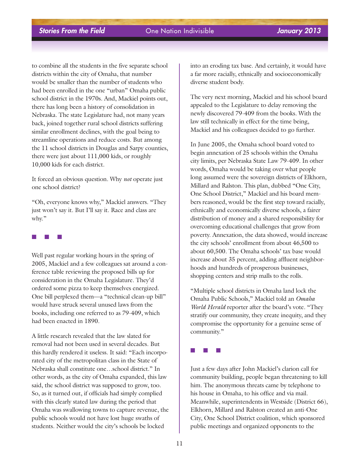to combine all the students in the five separate school districts within the city of Omaha, that number would be smaller than the number of students who had been enrolled in the one "urban" Omaha public school district in the 1970s. And, Mackiel points out, there has long been a history of consolidation in Nebraska. The state Legislature had, not many years back, joined together rural school districts suffering similar enrollment declines, with the goal being to streamline operations and reduce costs. But among the 11 school districts in Douglas and Sarpy counties, there were just about 111,000 kids, or roughly 10,000 kids for each district.

It forced an obvious question. Why *not* operate just one school district?

"Oh, everyone knows why," Mackiel answers. "They just won't say it. But I'll say it. Race and class are why."

### ■ ■ ■

Well past regular working hours in the spring of 2005, Mackiel and a few colleagues sat around a conference table reviewing the proposed bills up for consideration in the Omaha Legislature. They'd ordered some pizza to keep themselves energized. One bill perplexed them—a "technical clean-up bill" would have struck several unused laws from the books, including one referred to as 79-409, which had been enacted in 1890.

A little research revealed that the law slated for removal had not been used in several decades. But this hardly rendered it useless. It said: "Each incorporated city of the metropolitan class in the State of Nebraska shall constitute one…school district." In other words, as the city of Omaha expanded, this law said, the school district was supposed to grow, too. So, as it turned out, if officials had simply complied with this clearly stated law during the period that Omaha was swallowing towns to capture revenue, the public schools would not have lost huge swaths of students. Neither would the city's schools be locked

into an eroding tax base. And certainly, it would have a far more racially, ethnically and socioeconomically diverse student body.

The very next morning, Mackiel and his school board appealed to the Legislature to delay removing the newly discovered 79-409 from the books. With the law still technically in effect for the time being, Mackiel and his colleagues decided to go further.

In June 2005, the Omaha school board voted to begin annexation of 25 schools within the Omaha city limits, per Nebraska State Law 79-409. In other words, Omaha would be taking over what people long assumed were the sovereign districts of Elkhorn, Millard and Ralston. This plan, dubbed "One City, One School District," Mackiel and his board members reasoned, would be the first step toward racially, ethnically and economically diverse schools, a fairer distribution of money and a shared responsibility for overcoming educational challenges that grow from poverty. Annexation, the data showed, would increase the city schools' enrollment from about 46,500 to about 60,500. The Omaha schools' tax base would increase about 35 percent, adding affluent neighborhoods and hundreds of prosperous businesses, shopping centers and strip malls to the rolls.

"Multiple school districts in Omaha land lock the Omaha Public Schools," Mackiel told an *Omaha World Herald* reporter after the board's vote. "They stratify our community, they create inequity, and they compromise the opportunity for a genuine sense of community."

■ ■ ■

Just a few days after John Mackiel's clarion call for community building, people began threatening to kill him. The anonymous threats came by telephone to his house in Omaha, to his office and via mail. Meanwhile, superintendents in Westside (District 66), Elkhorn, Millard and Ralston created an anti-One City, One School District coalition, which sponsored public meetings and organized opponents to the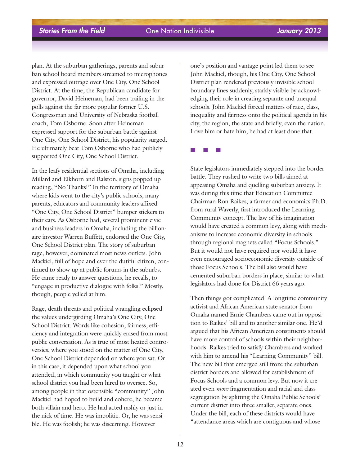plan. At the suburban gatherings, parents and suburban school board members streamed to microphones and expressed outrage over One City, One School District. At the time, the Republican candidate for governor, David Heineman, had been trailing in the polls against the far more popular former U.S. Congressman and University of Nebraska football coach, Tom Osborne. Soon after Heineman expressed support for the suburban battle against One City, One School District, his popularity surged. He ultimately beat Tom Osborne who had publicly supported One City, One School District.

In the leafy residential sections of Omaha, including Millard and Elkhorn and Ralston, signs popped up reading, "No Thanks!" In the territory of Omaha where kids went to the city's public schools, many parents, educators and community leaders affixed "One City, One School District" bumper stickers to their cars. As Osborne had, several prominent civic and business leaders in Omaha, including the billionaire investor Warren Buffett, endorsed the One City, One School District plan. The story of suburban rage, however, dominated most news outlets. John Mackiel, full of hope and ever the dutiful citizen, continued to show up at public forums in the suburbs. He came ready to answer questions, he recalls, to "engage in productive dialogue with folks." Mostly, though, people yelled at him.

Rage, death threats and political wrangling eclipsed the values undergirding Omaha's One City, One School District. Words like cohesion, fairness, efficiency and integration were quickly erased from most public conversation. As is true of most heated controversies, where you stood on the matter of One City, One School District depended on where you sat. Or in this case, it depended upon what school you attended, in which community you taught or what school district you had been hired to oversee. So, among people in that ostensible "community" John Mackiel had hoped to build and cohere, he became both villain and hero. He had acted rashly or just in the nick of time. He was impolitic. Or, he was sensible. He was foolish; he was discerning. However

one's position and vantage point led them to see John Mackiel, though, his One City, One School District plan rendered previously invisible school boundary lines suddenly, starkly visible by acknowledging their role in creating separate and unequal schools. John Mackiel forced matters of race, class, inequality and fairness onto the political agenda in his city, the region, the state and briefly, even the nation. Love him or hate him, he had at least done that.

■ ■ ■

State legislators immediately stepped into the border battle. They rushed to write two bills aimed at appeasing Omaha and quelling suburban anxiety. It was during this time that Education Committee Chairman Ron Raikes, a farmer and economics Ph.D. from rural Waverly, first introduced the Learning Community concept. The law of his imagination would have created a common levy, along with mechanisms to increase economic diversity in schools through regional magnets called "Focus Schools." But it would not have required nor would it have even encouraged socioeconomic diversity outside of those Focus Schools. The bill also would have cemented suburban borders in place, similar to what legislators had done for District 66 years ago.

Then things got complicated. A longtime community activist and African American state senator from Omaha named Ernie Chambers came out in opposition to Raikes' bill and to another similar one. He'd argued that his African American constituents should have more control of schools within their neighborhoods. Raikes tried to satisfy Chambers and worked with him to amend his "Learning Community" bill. The new bill that emerged still froze the suburban district borders and allowed for establishment of Focus Schools and a common levy. But now it created even *more* fragmentation and racial and class segregation by splitting the Omaha Public Schools' current district into three smaller, separate ones. Under the bill, each of these districts would have "attendance areas which are contiguous and whose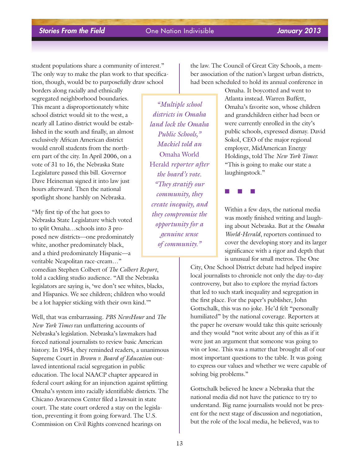student populations share a community of interest." The only way to make the plan work to that specification, though, would be to purposefully draw school

borders along racially and ethnically segregated neighborhood boundaries. This meant a disproportionately white school district would sit to the west, a nearly all Latino district would be established in the south and finally, an almost exclusively African American district would enroll students from the northern part of the city. In April 2006, on a vote of 31 to 16, the Nebraska State Legislature passed this bill. Governor Dave Heineman signed it into law just hours afterward. Then the national spotlight shone harshly on Nebraska.

"My first tip of the hat goes to Nebraska State Legislature which voted to split Omaha…schools into 3 proposed new districts—one predominately white, another predominately black, and a third predominately Hispanic—a veritable Neapolitan race-cream…"

comedian Stephen Colbert of *The Colbert Report*, told a cackling studio audience. "All the Nebraska legislators are saying is, 'we don't see whites, blacks, and Hispanics. We see children; children who would be a lot happier sticking with their own kind.'"

Well, that was embarrassing. *PBS NewsHour* and *The New York Times* ran unflattering accounts of Nebraska's legislation. Nebraska's lawmakers had forced national journalists to review basic American history. In 1954, they reminded readers, a unanimous Supreme Court in *Brown v. Board of Education* outlawed intentional racial segregation in public education. The local NAACP chapter appeared in federal court asking for an injunction against splitting Omaha's system into racially identifiable districts. The Chicano Awareness Center filed a lawsuit in state court. The state court ordered a stay on the legislation, preventing it from going forward. The U.S. Commission on Civil Rights convened hearings on

*"Multiple school districts in Omaha land lock the Omaha Public Schools," Mackiel told an* Omaha World Herald *reporter after the board's vote. "They stratify our community, they create inequity, and they compromise the opportunity for a genuine sense of community."*

the law. The Council of Great City Schools, a member association of the nation's largest urban districts, had been scheduled to hold its annual conference in

> Omaha. It boycotted and went to Atlanta instead. Warren Buffett, Omaha's favorite son, whose children and grandchildren either had been or were currently enrolled in the city's public schools, expressed dismay. David Sokol, CEO of the major regional employer, MidAmerican Energy Holdings, told The *New York Times*: "This is going to make our state a laughingstock."

■ ■ ■

Within a few days, the national media was mostly finished writing and laughing about Nebraska. But at the *Omaha World-Herald*, reporters continued to cover the developing story and its larger significance with a rigor and depth that is unusual for small metros. The One

City, One School District debate had helped inspire local journalists to chronicle not only the day-to-day controversy, but also to explore the myriad factors that led to such stark inequality and segregation in the first place. For the paper's publisher, John Gottschalk, this was no joke. He'd felt "personally humiliated" by the national coverage. Reporters at the paper he oversaw would take this quite seriously and they would "not write about any of this as if it were just an argument that someone was going to win or lose. This was a matter that brought all of our most important questions to the table. It was going to express our values and whether we were capable of solving big problems."

Gottschalk believed he knew a Nebraska that the national media did not have the patience to try to understand. Big name journalists would not be present for the next stage of discussion and negotiation, but the role of the local media, he believed, was to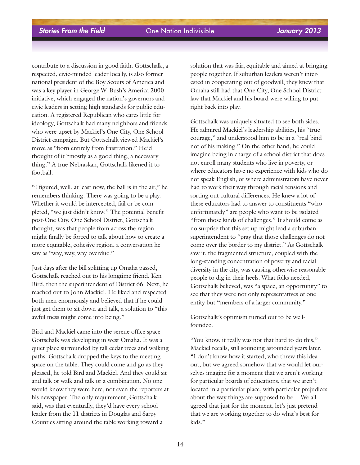contribute to a discussion in good faith. Gottschalk, a respected, civic-minded leader locally, is also former national president of the Boy Scouts of America and was a key player in George W. Bush's America 2000 initiative, which engaged the nation's governors and civic leaders in setting high standards for public education. A registered Republican who cares little for ideology, Gottschalk had many neighbors and friends who were upset by Mackiel's One City, One School District campaign. But Gottschalk viewed Mackiel's move as "born entirely from frustration." He'd thought of it "mostly as a good thing, a necessary thing." A true Nebraskan, Gottschalk likened it to football.

"I figured, well, at least now, the ball is in the air," he remembers thinking. There was going to be a play. Whether it would be intercepted, fail or be completed, "we just didn't know." The potential benefit post-One City, One School District, Gottschalk thought, was that people from across the region might finally be forced to talk about how to create a more equitable, cohesive region, a conversation he saw as "way, way, way overdue."

Just days after the bill splitting up Omaha passed, Gottschalk reached out to his longtime friend, Ken Bird, then the superintendent of District 66. Next, he reached out to John Mackiel. He liked and respected both men enormously and believed that if he could just get them to sit down and talk, a solution to "this awful mess might come into being."

Bird and Mackiel came into the serene office space Gottschalk was developing in west Omaha. It was a quiet place surrounded by tall cedar trees and walking paths. Gottschalk dropped the keys to the meeting space on the table. They could come and go as they pleased, he told Bird and Mackiel. And they could sit and talk or walk and talk or a combination. No one would know they were here, not even the reporters at his newspaper. The only requirement, Gottschalk said, was that eventually, they'd have every school leader from the 11 districts in Douglas and Sarpy Counties sitting around the table working toward a

solution that was fair, equitable and aimed at bringing people together. If suburban leaders weren't interested in cooperating out of goodwill, they knew that Omaha still had that One City, One School District law that Mackiel and his board were willing to put right back into play.

Gottschalk was uniquely situated to see both sides. He admired Mackiel's leadership abilities, his "true courage," and understood him to be in a "real bind not of his making." On the other hand, he could imagine being in charge of a school district that does not enroll many students who live in poverty, or where educators have no experience with kids who do not speak English, or where administrators have never had to work their way through racial tensions and sorting out cultural differences. He knew a lot of these educators had to answer to constituents "who unfortunately" are people who want to be isolated "from those kinds of challenges." It should come as no surprise that this set up might lead a suburban superintendent to "pray that those challenges do not come over the border to my district." As Gottschalk saw it, the fragmented structure, coupled with the long-standing concentration of poverty and racial diversity in the city, was causing otherwise reasonable people to dig in their heels. What folks needed, Gottschalk believed, was "a space, an opportunity" to see that they were not only representatives of one entity but "members of a larger community."

Gottschalk's optimism turned out to be wellfounded.

"You know, it really was not that hard to do this," Mackiel recalls, still sounding astounded years later. "I don't know how it started, who threw this idea out, but we agreed somehow that we would let ourselves imagine for a moment that we aren't working for particular boards of educations, that we aren't located in a particular place, with particular prejudices about the way things are supposed to be….We all agreed that just for the moment, let's just pretend that we are working together to do what's best for kids<sup>"</sup>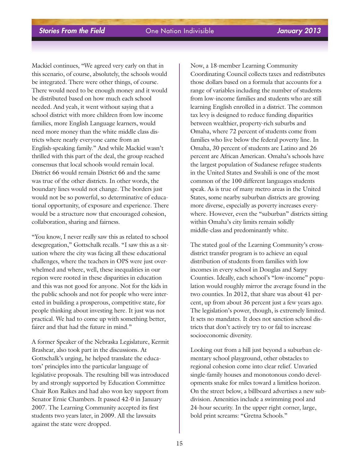Mackiel continues, "We agreed very early on that in this scenario, of course, absolutely, the schools would be integrated. There were other things, of course. There would need to be enough money and it would be distributed based on how much each school needed. And yeah, it went without saying that a school district with more children from low income families, more English Language learners, would need more money than the white middle class districts where nearly everyone came from an English-speaking family." And while Mackiel wasn't thrilled with this part of the deal, the group reached consensus that local schools would remain local. District 66 would remain District 66 and the same was true of the other districts. In other words, the boundary lines would not change. The borders just would not be so powerful, so determinative of educational opportunity, of exposure and experience. There would be a structure now that encouraged cohesion, collaboration, sharing and fairness.

"You know, I never really saw this as related to school desegregation," Gottschalk recalls. "I saw this as a situation where the city was facing all these educational challenges, where the teachers in OPS were just overwhelmed and where, well, these inequalities in our region were rooted in these disparities in education and this was not good for anyone. Not for the kids in the public schools and not for people who were interested in building a prosperous, competitive state, for people thinking about investing here. It just was not practical. We had to come up with something better, fairer and that had the future in mind."

A former Speaker of the Nebraska Legislature, Kermit Brashear, also took part in the discussions. At Gottschalk's urging, he helped translate the educators' principles into the particular language of legislative proposals. The resulting bill was introduced by and strongly supported by Education Committee Chair Ron Raikes and had also won key support from Senator Ernie Chambers. It passed 42-0 in January 2007. The Learning Community accepted its first students two years later, in 2009. All the lawsuits against the state were dropped.

Now, a 18-member Learning Community Coordinating Council collects taxes and redistributes those dollars based on a formula that accounts for a range of variables including the number of students from low-income families and students who are still learning English enrolled in a district. The common tax levy is designed to reduce funding disparities between wealthier, property-rich suburbs and Omaha, where 72 percent of students come from families who live below the federal poverty line. In Omaha, 30 percent of students are Latino and 26 percent are African American. Omaha's schools have the largest population of Sudanese refugee students in the United States and Swahili is one of the most common of the 100 different languages students speak. As is true of many metro areas in the United States, some nearby suburban districts are growing more diverse, especially as poverty increases everywhere. However, even the "suburban" districts sitting within Omaha's city limits remain solidly middle-class and predominantly white.

The stated goal of the Learning Community's crossdistrict transfer program is to achieve an equal distribution of students from families with low incomes in every school in Douglas and Sarpy Counties. Ideally, each school's "low-income" population would roughly mirror the average found in the two counties. In 2012, that share was about 41 percent, up from about 36 percent just a few years ago. The legislation's power, though, is extremely limited. It sets no mandates. It does not sanction school districts that don't actively try to or fail to increase socioeconomic diversity.

Looking out from a hill just beyond a suburban elementary school playground, other obstacles to regional cohesion come into clear relief. Unvaried single-family houses and monotonous condo developments snake for miles toward a limitless horizon. On the street below, a billboard advertises a new subdivision. Amenities include a swimming pool and 24-hour security. In the upper right corner, large, bold print screams: "Gretna Schools."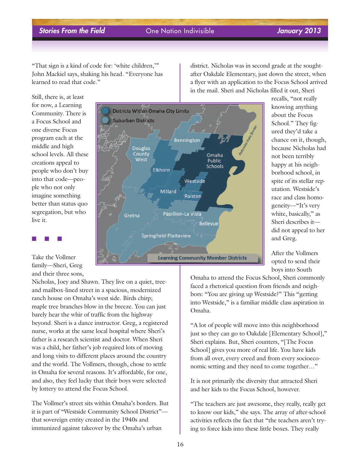"That sign is a kind of code for: 'white children,'" John Mackiel says, shaking his head. "Everyone has learned to read that code."

Still, there is, at least for now, a Learning Community. There is a Focus School and one diverse Focus program each at the middle and high school levels. All these creations appeal to people who don't buy into that code—people who not only imagine something better than status quo segregation, but who live it.

Take the Vollmer family—Sheri, Greg and their three sons,

■ ■ ■

Nicholas, Joey and Shawn. They live on a quiet, treeand mailbox-lined street in a spacious, modernized ranch house on Omaha's west side. Birds chirp; maple tree branches blow in the breeze. You can just barely hear the whir of traffic from the highway beyond. Sheri is a dance instructor. Greg, a registered nurse, works at the same local hospital where Sheri's father is a research scientist and doctor. When Sheri was a child, her father's job required lots of moving and long visits to different places around the country and the world. The Vollmers, though, chose to settle in Omaha for several reasons. It's affordable, for one, and also, they feel lucky that their boys were selected by lottery to attend the Focus School.

The Vollmer's street sits within Omaha's borders. But it is part of "Westside Community School District" that sovereign entity created in the 1940s and immunized against takeover by the Omaha's urban



district. Nicholas was in second grade at the soughtafter Oakdale Elementary, just down the street, when a flyer with an application to the Focus School arrived in the mail. Sheri and Nicholas filled it out, Sheri

recalls, "not really knowing anything about the Focus School." They figured they'd take a chance on it, though, because Nicholas had not been terribly happy at his neighborhood school, in spite of its stellar reputation. Westside's race and class homogeneity—"It's very white, basically," as Sheri describes it did not appeal to her and Greg.

After the Vollmers opted to send their boys into South

Omaha to attend the Focus School, Sheri commonly faced a rhetorical question from friends and neighbors: "You are giving up Westside?" This "getting into Westside," is a familiar middle class aspiration in Omaha.

"A lot of people will move into this neighborhood just so they can go to Oakdale [Elementary School]," Sheri explains. But, Sheri counters, "[The Focus School] gives you more of real life. You have kids from all over, every creed and from every socioeconomic setting and they need to come together…"

It is not primarily the diversity that attracted Sheri and her kids to the Focus School, however.

"The teachers are just awesome, they really, really get to know our kids," she says. The array of after-school activities reflects the fact that "the teachers aren't trying to force kids into these little boxes. They really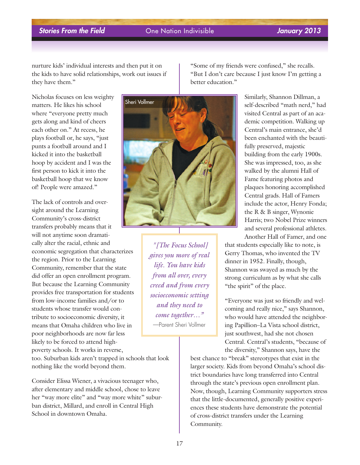nurture kids' individual interests and then put it on the kids to have solid relationships, work out issues if they have them."

Nicholas focuses on less weighty matters. He likes his school where "everyone pretty much gets along and kind of cheers each other on." At recess, he plays football or, he says, "just punts a football around and I kicked it into the basketball hoop by accident and I was the first person to kick it into the basketball hoop that we know of! People were amazed."

The lack of controls and oversight around the Learning Community's cross-district transfers probably means that it will not anytime soon dramatically alter the racial, ethnic and economic segregation that characterizes the region. Prior to the Learning Community, remember that the state did offer an open enrollment program. But because the Learning Community provides free transportation for students from low-income families and/or to students whose transfer would contribute to socioeconomic diversity, it means that Omaha children who live in poor neighborhoods are now far less likely to be forced to attend highpoverty schools. It works in reverse,

too. Suburban kids aren't trapped in schools that look nothing like the world beyond them.

Consider Elissa Wiener, a vivacious teenager who, after elementary and middle school, chose to leave her "way more elite" and "way more white" suburban district, Millard, and enroll in Central High School in downtown Omaha.



*"[The Focus School] gives you more of real life. You have kids from all over, every creed and from every socioeconomic setting and they need to come together…"* —Parent Sheri Vollmer

"Some of my friends were confused," she recalls. "But I don't care because I just know I'm getting a better education."

> Similarly, Shannon Dillman, a self-described "math nerd," had visited Central as part of an academic competition. Walking up Central's main entrance, she'd been enchanted with the beautifully preserved, majestic building from the early 1900s. She was impressed, too, as she walked by the alumni Hall of Fame featuring photos and plaques honoring accomplished Central grads. Hall of Famers include the actor, Henry Fonda; the R & B singer, Wynonie Harris; two Nobel Prize winners and several professional athletes. Another Hall of Famer, and one

that students especially like to note, is Gerry Thomas, who invented the TV dinner in 1952. Finally, though, Shannon was swayed as much by the strong curriculum as by what she calls "the spirit" of the place.

"Everyone was just so friendly and welcoming and really nice," says Shannon, who would have attended the neighboring Papillion–La Vista school district, just southwest, had she not chosen Central. Central's students, "because of the diversity," Shannon says, have the

best chance to "break" stereotypes that exist in the larger society. Kids from beyond Omaha's school district boundaries have long transferred into Central through the state's previous open enrollment plan. Now, though, Learning Community supporters stress that the little-documented, generally positive experiences these students have demonstrate the potential of cross-district transfers under the Learning Community.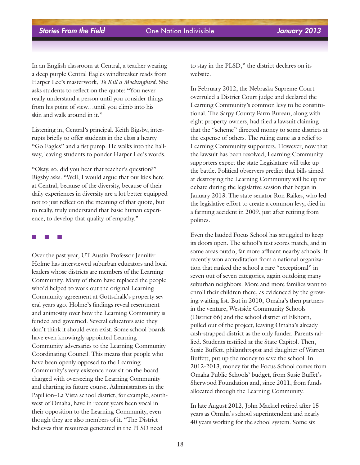In an English classroom at Central, a teacher wearing a deep purple Central Eagles windbreaker reads from Harper Lee's masterwork, *To Kill a Mockingbird*. She asks students to reflect on the quote: "You never really understand a person until you consider things from his point of view…until you climb into his skin and walk around in it."

Listening in, Central's principal, Keith Bigsby, interrupts briefly to offer students in the class a hearty "Go Eagles" and a fist pump. He walks into the hallway, leaving students to ponder Harper Lee's words.

"Okay, so, did you hear that teacher's question?" Bigsby asks. "Well, I would argue that our kids here at Central, because of the diversity, because of their daily experiences in diversity are a lot better equipped not to just reflect on the meaning of that quote, but to really, truly understand that basic human experience, to develop that quality of empathy."

### ■ ■ ■

Over the past year, UT Austin Professor Jennifer Holme has interviewed suburban educators and local leaders whose districts are members of the Learning Community. Many of them have replaced the people who'd helped to work out the original Learning Community agreement at Gottschalk's property several years ago. Holme's findings reveal resentment and animosity over how the Learning Community is funded and governed. Several educators said they don't think it should even exist. Some school boards have even knowingly appointed Learning Community adversaries to the Learning Community Coordinating Council. This means that people who have been openly opposed to the Learning Community's very existence now sit on the board charged with overseeing the Learning Community and charting its future course. Administrators in the Papillion–La Vista school district, for example, southwest of Omaha, have in recent years been vocal in their opposition to the Learning Community, even though they are also members of it. "The District believes that resources generated in the PLSD need

to stay in the PLSD," the district declares on its website.

In February 2012, the Nebraska Supreme Court overruled a District Court judge and declared the Learning Community's common levy to be constitutional. The Sarpy County Farm Bureau, along with eight property owners, had filed a lawsuit claiming that the "scheme" directed money to some districts at the expense of others. The ruling came as a relief to Learning Community supporters. However, now that the lawsuit has been resolved, Learning Community supporters expect the state Legislature will take up the battle. Political observers predict that bills aimed at destroying the Learning Community will be up for debate during the legislative session that began in January 2013. The state senator Ron Raikes, who led the legislative effort to create a common levy, died in a farming accident in 2009, just after retiring from politics.

Even the lauded Focus School has struggled to keep its doors open. The school's test scores match, and in some areas outdo, far more affluent nearby schools. It recently won accreditation from a national organization that ranked the school a rare "exceptional" in seven out of seven categories, again outdoing many suburban neighbors. More and more families want to enroll their children there, as evidenced by the growing waiting list. But in 2010, Omaha's then partners in the venture, Westside Community Schools (District 66) and the school district of Elkhorn, pulled out of the project, leaving Omaha's already cash-strapped district as the only funder. Parents rallied. Students testified at the State Capitol. Then, Susie Buffett, philanthropist and daughter of Warren Buffett, put up the money to save the school. In 2012-2013, money for the Focus School comes from Omaha Public Schools' budget, from Susie Buffet's Sherwood Foundation and, since 2011, from funds allocated through the Learning Community.

In late August 2012, John Mackiel retired after 15 years as Omaha's school superintendent and nearly 40 years working for the school system. Some six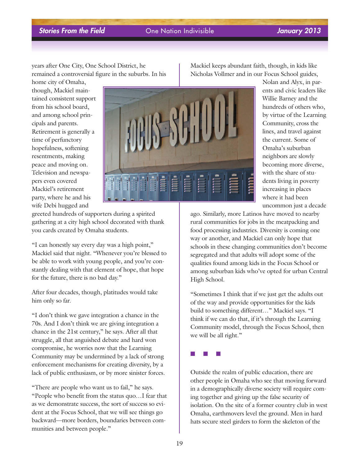years after One City, One School District, he remained a controversial figure in the suburbs. In his

home city of Omaha, though, Mackiel maintained consistent support from his school board, and among school principals and parents. Retirement is generally a time of perfunctory hopefulness, softening resentments, making peace and moving on. Television and newspapers even covered Mackiel's retirement party, where he and his wife Debi hugged and



greeted hundreds of supporters during a spirited gathering at a city high school decorated with thank you cards created by Omaha students.

"I can honestly say every day was a high point," Mackiel said that night. "Whenever you're blessed to be able to work with young people, and you're constantly dealing with that element of hope, that hope for the future, there is no bad day."

After four decades, though, platitudes would take him only so far.

"I don't think we gave integration a chance in the 70s. And I don't think we are giving integration a chance in the 21st century," he says. After all that struggle, all that anguished debate and hard won compromise, he worries now that the Learning Community may be undermined by a lack of strong enforcement mechanisms for creating diversity, by a lack of public enthusiasm, or by more sinister forces.

"There are people who want us to fail," he says. "People who benefit from the status quo…I fear that as we demonstrate success, the sort of success so evident at the Focus School, that we will see things go backward—more borders, boundaries between communities and between people."

Mackiel keeps abundant faith, though, in kids like Nicholas Vollmer and in our Focus School guides,

> Nolan and Alyx, in parents and civic leaders like Willie Barney and the hundreds of others who, by virtue of the Learning Community, cross the lines, and travel against the current. Some of Omaha's suburban neighbors are slowly becoming more diverse, with the share of students living in poverty increasing in places where it had been uncommon just a decade

ago. Similarly, more Latinos have moved to nearby rural communities for jobs in the meatpacking and food processing industries. Diversity is coming one way or another, and Mackiel can only hope that schools in these changing communities don't become segregated and that adults will adopt some of the qualities found among kids in the Focus School or among suburban kids who've opted for urban Central High School.

"Sometimes I think that if we just get the adults out of the way and provide opportunities for the kids build to something different…" Mackiel says. "I think if we can do that, if it's through the Learning Community model, through the Focus School, then we will be all right."



Outside the realm of public education, there are other people in Omaha who see that moving forward in a demographically diverse society will require coming together and giving up the false security of isolation. On the site of a former country club in west Omaha, earthmovers level the ground. Men in hard hats secure steel girders to form the skeleton of the